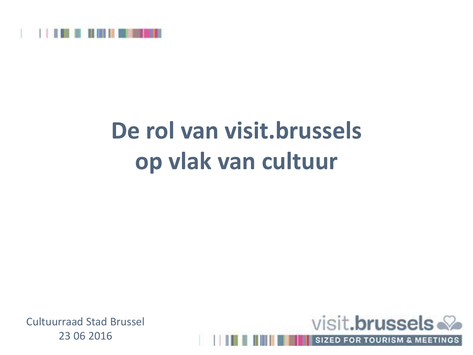

# **De rol van visit.brussels op vlak van cultuur**

Cultuurraad Stad Brussel 23 06 2016

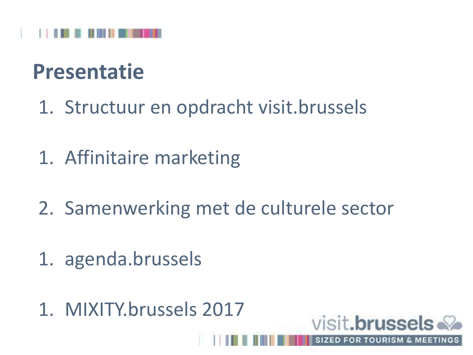

#### **Presentatie**

- 1. Structuur en opdracht visit.brussels
- 1. Affinitaire marketing
- 2. Samenwerking met de culturele sector

visit.brussels

**SIZED FOR TOURISM & MEET** 

- 1. agenda.brussels
- 1. MIXITY.brussels 2017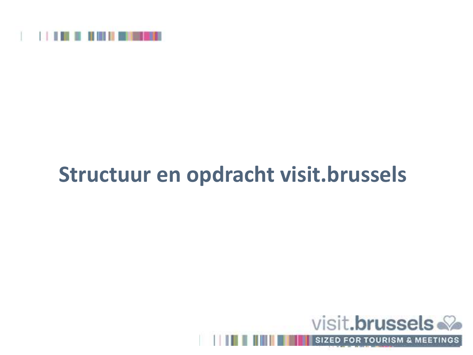

## **Structuur en opdracht visit.brussels**



SIZED FOR TOURISM & MEETINGS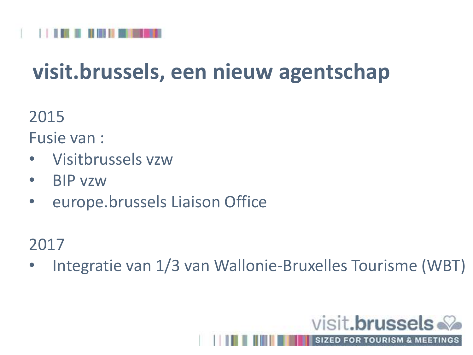

## **visit.brussels, een nieuw agentschap**

2015

Fusie van :

- Visitbrussels vzw
- BIP vzw
- europe.brussels Liaison Office

#### 2017

• Integratie van 1/3 van Wallonie-Bruxelles Tourisme (WBT)

visit.brussels.

**SIZED FOR TOURISM & MEETING**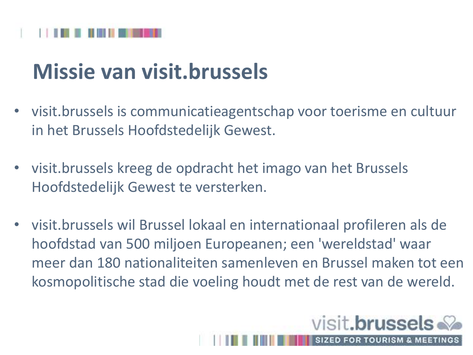## **Missie van visit.brussels**

- visit.brussels is communicatieagentschap voor toerisme en cultuur in het Brussels Hoofdstedelijk Gewest.
- visit.brussels kreeg de opdracht het imago van het Brussels Hoofdstedelijk Gewest te versterken.
- visit.brussels wil Brussel lokaal en internationaal profileren als de hoofdstad van 500 miljoen Europeanen; een 'wereldstad' waar meer dan 180 nationaliteiten samenleven en Brussel maken tot een kosmopolitische stad die voeling houdt met de rest van de wereld.

visit.**brussels** 

**SIZED FOR TOURISM & ME**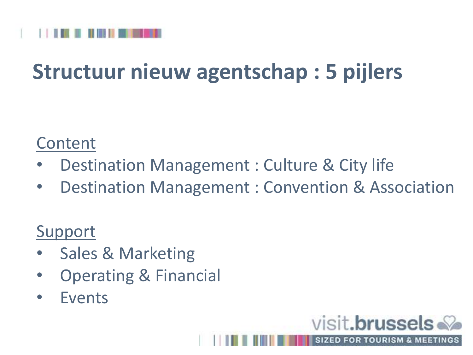

## **Structuur nieuw agentschap : 5 pijlers**

#### Content

- Destination Management : Culture & City life
- Destination Management : Convention & Association

visit.brussels

**SIZED FOR TOURISM & MEETING** 

#### Support

- Sales & Marketing
- Operating & Financial
- Events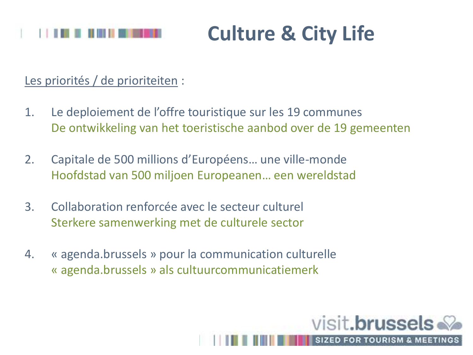#### **Culture & City Life**

#### Les priorités / de prioriteiten :

1. Le deploiement de l'offre touristique sur les 19 communes De ontwikkeling van het toeristische aanbod over de 19 gemeenten

visit.brussels

**SIZED FOR TOURISM & MEETI** 

- 2. Capitale de 500 millions d'Européens… une ville-monde Hoofdstad van 500 miljoen Europeanen… een wereldstad
- 3. Collaboration renforcée avec le secteur culturel Sterkere samenwerking met de culturele sector
- 4. « agenda.brussels » pour la communication culturelle « agenda.brussels » als cultuurcommunicatiemerk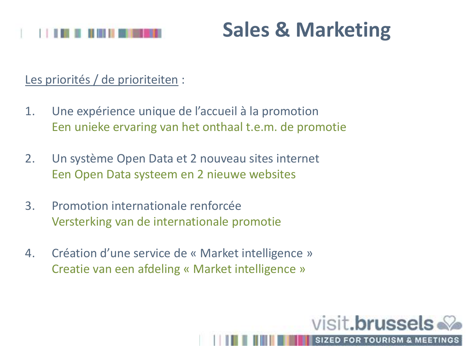

#### **Sales & Marketing**

visit.brussels

**SIZED FOR TOURISM & MEET** 

Les priorités / de prioriteiten :

- 1. Une expérience unique de l'accueil à la promotion Een unieke ervaring van het onthaal t.e.m. de promotie
- 2. Un système Open Data et 2 nouveau sites internet Een Open Data systeem en 2 nieuwe websites
- 3. Promotion internationale renforcée Versterking van de internationale promotie
- 4. Création d'une service de « Market intelligence » Creatie van een afdeling « Market intelligence »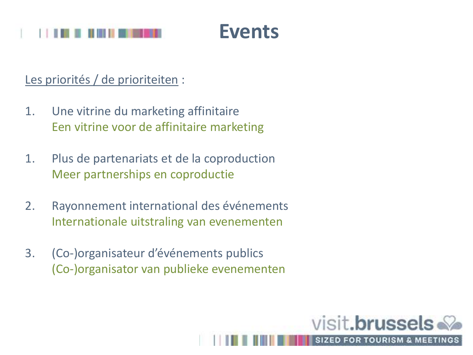

Les priorités / de prioriteiten :

- 1. Une vitrine du marketing affinitaire Een vitrine voor de affinitaire marketing
- 1. Plus de partenariats et de la coproduction Meer partnerships en coproductie
- 2. Rayonnement international des événements Internationale uitstraling van evenementen
- 3. (Co-)organisateur d'événements publics (Co-)organisator van publieke evenementen

visit.brussels

**SIZED FOR TOURISM & MEETIN**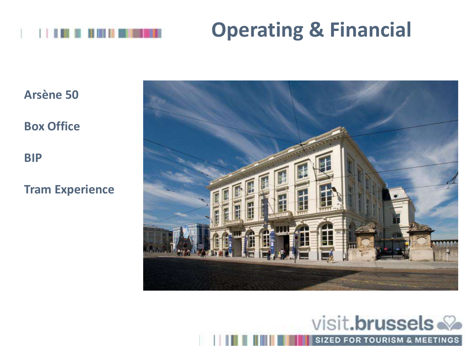

## **Operating & Financial**

**Arsène 50**

**Box Office**

**BIP**

**Tram Experience**



#### visit.brussels

**SIZED FOR TOURISM & MEETINGS**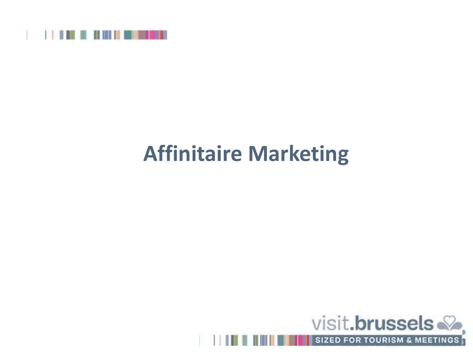

## **Affinitaire Marketing**

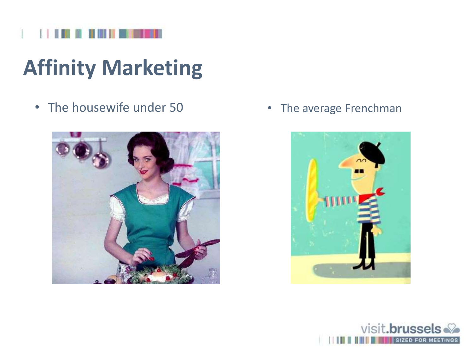# **Affinity Marketing**

• The housewife under 50 • The average Frenchman





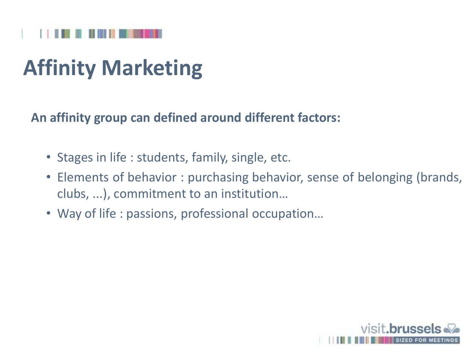# **Affinity Marketing**

**An affinity group can defined around different factors:**

- Stages in life : students, family, single, etc.
- Elements of behavior : purchasing behavior, sense of belonging (brands, clubs, ...), commitment to an institution…
- Way of life : passions, professional occupation…

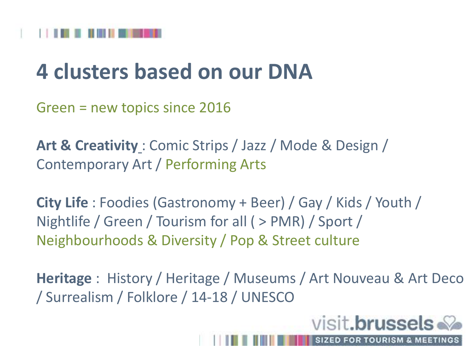#### **4 clusters based on our DNA**

Green = new topics since 2016

**Art & Creativity** : Comic Strips / Jazz / Mode & Design / Contemporary Art / Performing Arts

**City Life** : Foodies (Gastronomy + Beer) / Gay / Kids / Youth / Nightlife / Green / Tourism for all ( > PMR) / Sport / Neighbourhoods & Diversity / Pop & Street culture

**Heritage** : History / Heritage / Museums / Art Nouveau & Art Deco / Surrealism / Folklore / 14-18 / UNESCO

visit.**brussels** 

**SIZED FOR TOURISM & MEET**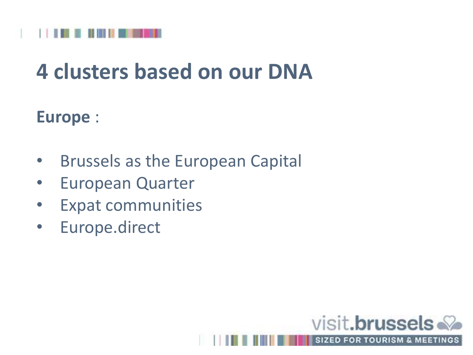

#### **4 clusters based on our DNA**

#### **Europe** :

- Brussels as the European Capital
- European Quarter
- Expat communities
- Europe.direct

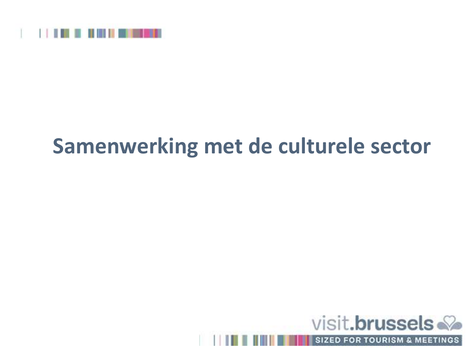

#### **Samenwerking met de culturele sector**



**SIZED FOR TOURISM & MEETINGS**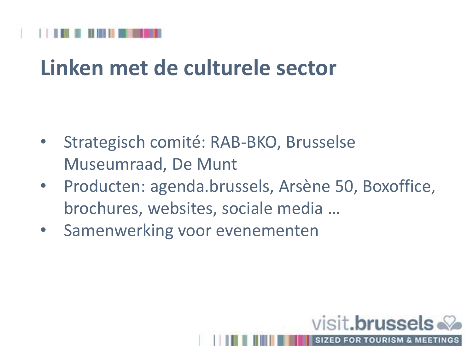## **Linken met de culturele sector**

- Strategisch comité: RAB-BKO, Brusselse Museumraad, De Munt
- Producten: agenda.brussels, Arsène 50, Boxoffice, brochures, websites, sociale media …
- Samenwerking voor evenementen

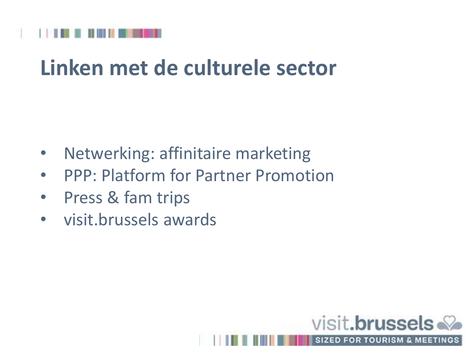

## **Linken met de culturele sector**

- Netwerking: affinitaire marketing
- PPP: Platform for Partner Promotion
- Press & fam trips
- visit.brussels awards

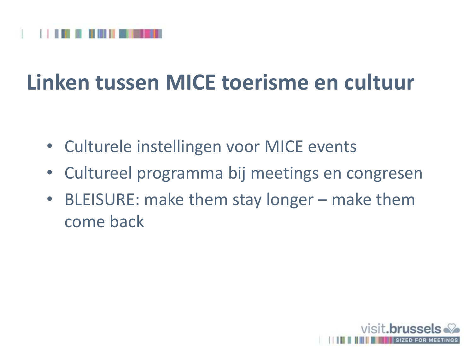

## **Linken tussen MICE toerisme en cultuur**

- Culturele instellingen voor MICE events
- Cultureel programma bij meetings en congresen
- BLEISURE: make them stay longer make them come back

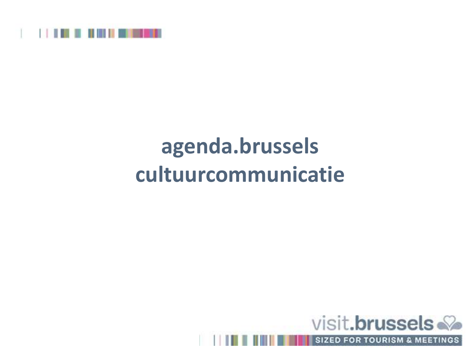

# **agenda.brussels cultuurcommunicatie**



**SIZED FOR TOURISM & MEETINGS**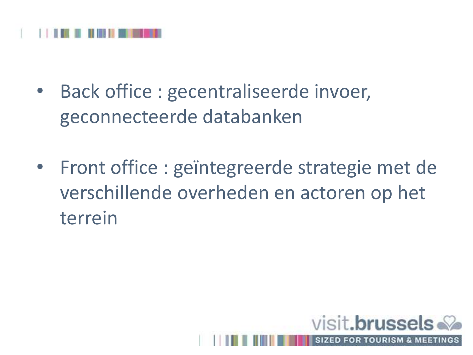

- Back office : gecentraliseerde invoer, geconnecteerde databanken
- Front office : geïntegreerde strategie met de verschillende overheden en actoren op het terrein

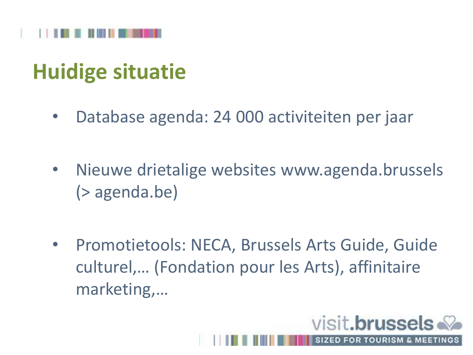

## **Huidige situatie**

- Database agenda: 24 000 activiteiten per jaar
- Nieuwe drietalige websites www.agenda.brussels (> agenda.be)
- Promotietools: NECA, Brussels Arts Guide, Guide culturel,… (Fondation pour les Arts), affinitaire marketing,…

visit.**brussels** 

**SIZED FOR TOURISM & MEET**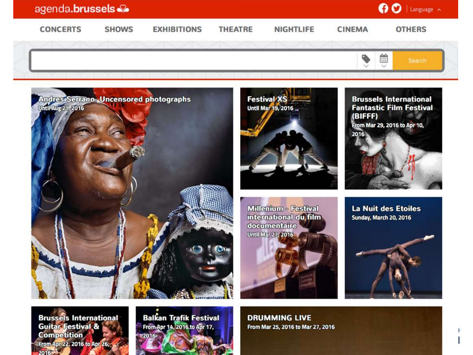

**Guitar Festival & Competition** From Apr 22, 2016 to Apr 26, 2016

From Apr 14, 2016 to Apr 17,

From Mar 25, 2016 to Mar 27, 2016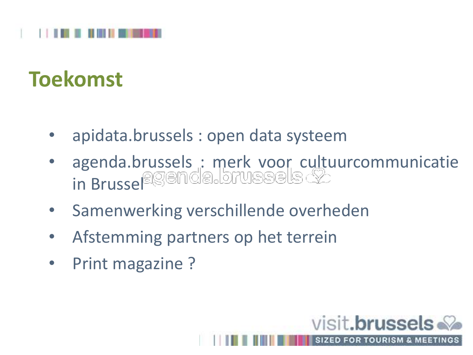

#### **Toekomst**

- apidata.brussels : open data systeem
- agenda.brussels : merk voor cultuurcommunicatie in Brussel

visit.brussels

**SIZED FOR TOURISM & MEETI** 

- Samenwerking verschillende overheden
- Afstemming partners op het terrein
- Print magazine ?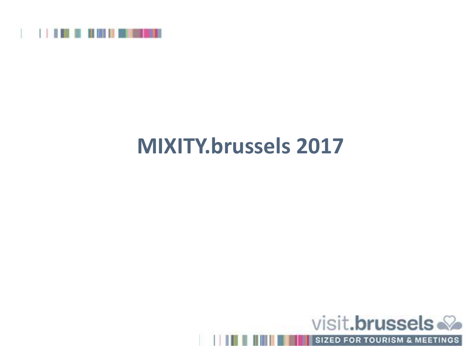

#### **MIXITY.brussels 2017**



SIZED FOR TOURISM & MEETINGS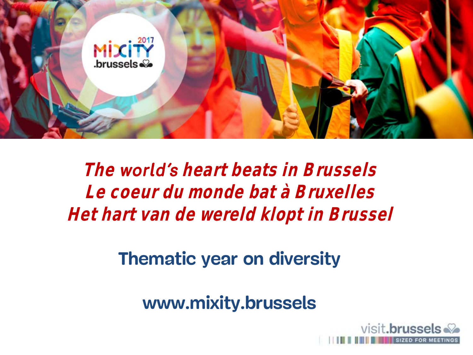

The **world's** heart beats in Brussels **Le coeur du monde bat à Bruxelles Het hart van de wereld klopt in Brussel**

**Thematic year on diversity**

**www.mixity.brussels**

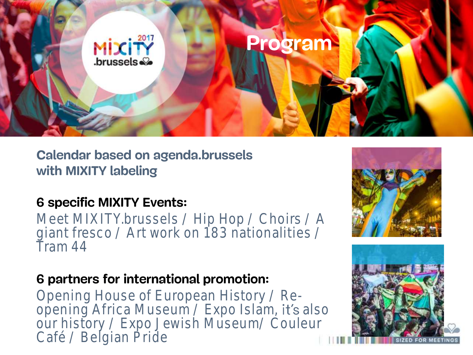

**Calendar based on agenda.brussels with MIXITY labeling**

#### **6 specific MIXITY Events:**

Meet MIXITY.brussels / Hip Hop / Choirs / A giant fresco / Art work on 183 nationalities / Tram 44

#### **6 partners for international promotion:**

Opening House of European History / Reopening Africa Museum / Expo Islam, it's also our history / Expo Jewish Museum/ Couleur Café / Belgian Pride



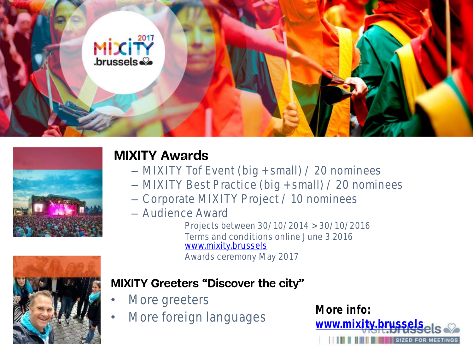



#### **MIXITY Awards**

- MIXITY Tof Event (big + small) / 20 nominees
- MIXITY Best Practice (big + small) / 20 nominees
- Corporate MIXITY Project / 10 nominees
- Audience Award

Projects between 30/10/2014 > 30/10/2016 Terms and conditions online June 3 2016 [www.mixity.brussels](http://www.mixity.brussels/) Awards ceremony May 2017



#### **MIXITY Greeters** "Discover the city"

- More greeters
- More foreign languages **More info:**

www.mixity.brusse **SIZED FOR MEETINGS**